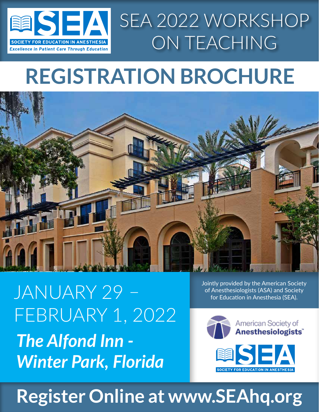

# **REGISTRATION BROCHURE**



*The Alfond Inn - Winter Park, Florida* JANUARY 29 FEBRUARY 1, 2022 Jointly provided by the American Society of Anesthesiologists (ASA) and Society for Education in Anesthesia (SEA).



# **Register Online at www.SEAhq.org**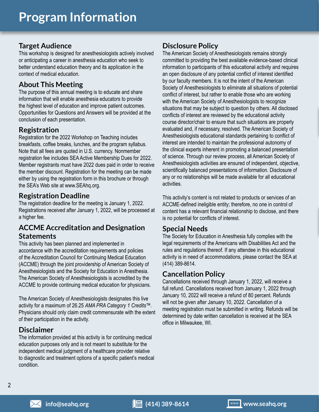### **Target Audience**

This workshop is designed for anesthesiologists actively involved or anticipating a career in anesthesia education who seek to better understand education theory and its application in the context of medical education.

### **About This Meeting**

The purpose of this annual meeting is to educate and share information that will enable anesthesia educators to provide the highest level of education and improve patient outcomes. Opportunities for Questions and Answers will be provided at the conclusion of each presentation.

#### **Registration**

Registration for the 2022 Workshop on Teaching includes breakfasts, coffee breaks, lunches, and the program syllabus. Note that all fees are quoted in U.S. currency. Nonmember registration fee includes SEA Active Membership Dues for 2022. Member registrants must have 2022 dues paid in order to receive the member discount. Registration for the meeting can be made either by using the registration form in this brochure or through the SEA's Web site at www.SEAhq.org.

### **Registration Deadline**

The registration deadline for the meeting is January 1, 2022. Registrations received after January 1, 2022, will be processed at a higher fee.

### **ACCME Accreditation and Designation Statements**

This activity has been planned and implemented in accordance with the accreditation requirements and policies of the Accreditation Council for Continuing Medical Education (ACCME) through the joint providership of American Society of Anesthesiologists and the Society for Education in Anesthesia. The American Society of Anesthesiologists is accredited by the ACCME to provide continuing medical education for physicians.

The American Society of Anesthesiologists designates this live activity for a maximum of 26.25 *AMA PRA Category 1 Credits*™. Physicians should only claim credit commensurate with the extent of their participation in the activity.

### **Disclaimer**

The information provided at this activity is for continuing medical education purposes only and is not meant to substitute for the independent medical judgment of a healthcare provider relative to diagnostic and treatment options of a specific patient's medical condition.

### **Disclosure Policy**

The American Society of Anesthesiologists remains strongly committed to providing the best available evidence-based clinical information to participants of this educational activity and requires an open disclosure of any potential conflict of interest identified by our faculty members. It is not the intent of the American Society of Anesthesiologists to eliminate all situations of potential conflict of interest, but rather to enable those who are working with the American Society of Anesthesiologists to recognize situations that may be subject to question by others. All disclosed conflicts of interest are reviewed by the educational activity course director/chair to ensure that such situations are properly evaluated and, if necessary, resolved. The American Society of Anesthesiologists educational standards pertaining to conflict of interest are intended to maintain the professional autonomy of the clinical experts inherent in promoting a balanced presentation of science. Through our review process, all American Society of Anesthesiologists activities are ensured of independent, objective, scientifically balanced presentations of information. Disclosure of any or no relationships will be made available for all educational activities.

This activity's content is not related to products or services of an ACCME-defined ineligible entity; therefore, no one in control of content has a relevant financial relationship to disclose, and there is no potential for conflicts of interest.

#### **Special Needs**

The Society for Education in Anesthesia fully complies with the legal requirements of the Americans with Disabilities Act and the rules and regulations thereof. If any attendee in this educational activity is in need of accommodations, please contact the SEA at (414) 389-8614.

### **Cancellation Policy**

Cancellations received through January 1, 2022, will receive a full refund. Cancellations received from January 1, 2022 through January 10, 2022 will receive a refund of 80 percent. Refunds will not be given after January 10, 2022. Cancellation of a meeting registration must be submitted in writing. Refunds will be determined by date written cancellation is received at the SEA office in Milwaukee, WI.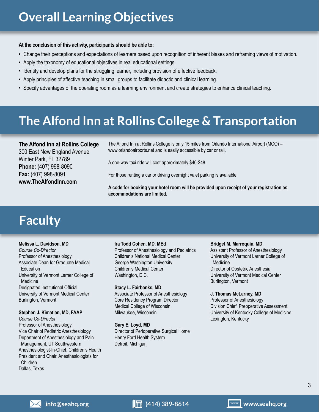#### **At the conclusion of this activity, participants should be able to:**

- Change their perceptions and expectations of learners based upon recognition of inherent biases and reframing views of motivation.
- Apply the taxonomy of educational objectives in real educational settings.
- Identify and develop plans for the struggling learner, including provision of effective feedback.
- Apply principles of affective teaching in small groups to facilitate didactic and clinical learning.
- Specify advantages of the operating room as a learning environment and create strategies to enhance clinical teaching.

# **The Alfond Inn at Rollins College & Transportation**

**The Alfond Inn at Rollins College** 300 East New England Avenue Winter Park, FL 32789 **Phone:** (407) 998-8090 **Fax:** (407) 998-8091 **www.TheAlfondInn.com**

The Alfond Inn at Rollins College is only 15 miles from Orlando International Airport (MCO) – www.orlandoairports.net and is easily accessible by car or rail.

A one-way taxi ride will cost approximately \$40-\$48.

For those renting a car or driving overnight valet parking is available.

**A code for booking your hotel room will be provided upon receipt of your registration as accommodations are limited.**

# **Faculty**

#### **Melissa L. Davidson, MD**

*Course Co-Director* Professor of Anesthesiology Associate Dean for Graduate Medical Education University of Vermont Larner College of Medicine Designated Institutional Official University of Vermont Medical Center Burlington, Vermont

#### **Stephen J. Kimatian, MD, FAAP**

*Course Co-Director* Professor of Anesthesiology Vice Chair of Pediatric Anesthesiology Department of Anesthesiology and Pain Management, UT Southwestern Anesthesiologist-In-Chief, Children's Health President and Chair, Anesthesiologists for Children Dallas, Texas

#### **Ira Todd Cohen, MD, MEd**

Professor of Anesthesiology and Pediatrics Children's National Medical Center George Washington University Children's Medical Center Washington, D.C.

#### **Stacy L. Fairbanks, MD**

Associate Professor of Anesthesiology Core Residency Program Director Medical College of Wisconsin Milwaukee, Wisconsin

**Gary E. Loyd, MD** Director of Perioperative Surgical Home

Henry Ford Health System Detroit, Michigan

#### **Bridget M. Marroquin, MD**

Assistant Professor of Anesthesiology University of Vermont Larner College of Medicine Director of Obstetric Anesthesia University of Vermont Medical Center Burlington, Vermont

#### **J. Thomas McLarney, MD**

Professor of Anesthesiology Division Chief, Preoperative Assessment University of Kentucky College of Medicine Lexington, Kentucky

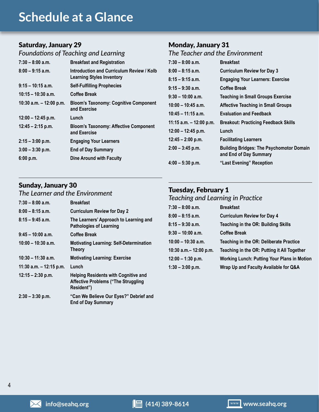### **Schedule at a Glance**

### Saturday, January 29

### *Foundations of Teaching and Learning*

| $7:30 - 8:00$ a.m.        | <b>Breakfast and Registration</b>                                             |
|---------------------------|-------------------------------------------------------------------------------|
| $8:00 - 9:15$ a.m.        | Introduction and Curriculum Review / Kolb<br><b>Learning Styles Inventory</b> |
| $9:15 - 10:15$ a.m.       | <b>Self-Fulfilling Prophecies</b>                                             |
| $10:15 - 10:30$ a.m.      | Coffee Break                                                                  |
| 10:30 a.m. $-$ 12:00 p.m. | <b>Bloom's Taxonomy: Cognitive Component</b><br>and Exercise                  |
| $12:00 - 12:45$ p.m.      | Lunch                                                                         |
| $12:45 - 2:15$ p.m.       | <b>Bloom's Taxonomy: Affective Component</b><br>and Exercise                  |
| $2:15 - 3:00$ p.m.        | <b>Engaging Your Learners</b>                                                 |
| $3:00 - 3:30$ p.m.        | <b>End of Day Summary</b>                                                     |
| 6:00 p.m.                 | Dine Around with Faculty                                                      |

### Monday, January 31

### *The Teacher and the Environment*

| $7:30 - 8:00$ a.m.        | <b>Breakfast</b>                                                          |
|---------------------------|---------------------------------------------------------------------------|
| $8:00 - 8:15$ a.m.        | <b>Curriculum Review for Day 3</b>                                        |
| $8:15 - 9:15$ a.m.        | <b>Engaging Your Learners: Exercise</b>                                   |
| $9:15 - 9:30$ a.m.        | Coffee Break                                                              |
| $9:30 - 10:00$ a.m.       | <b>Teaching in Small Groups Exercise</b>                                  |
| $10:00 - 10:45$ a.m.      | <b>Affective Teaching in Small Groups</b>                                 |
| $10:45 - 11:15$ a.m.      | <b>Evaluation and Feedback</b>                                            |
| 11:15 a.m. $-$ 12:00 p.m. | <b>Breakout: Practicing Feedback Skills</b>                               |
| $12:00 - 12:45$ p.m.      | Lunch                                                                     |
| $12:45 - 2:00$ p.m.       | <b>Facilitating Learners</b>                                              |
| $2:00 - 3:45$ p.m.        | <b>Building Bridges: The Psychomotor Domain</b><br>and End of Day Summary |
| $4:00 - 5:30$ p.m.        | "Last Evening" Reception                                                  |
|                           |                                                                           |

### Sunday, January 30

#### *The Learner and the Environment*

| $7:30 - 8:00$ a.m.        | <b>Breakfast</b>                                                                                        |
|---------------------------|---------------------------------------------------------------------------------------------------------|
| $8:00 - 8:15$ a.m.        | <b>Curriculum Review for Day 2</b>                                                                      |
| $8:15 - 9:45$ a.m.        | The Learners' Approach to Learning and<br><b>Pathologies of Learning</b>                                |
| $9:45 - 10:00$ a.m.       | <b>Coffee Break</b>                                                                                     |
| $10:00 - 10:30$ a.m.      | <b>Motivating Learning: Self-Determination</b><br><b>Theory</b>                                         |
| $10:30 - 11:30$ a.m.      | <b>Motivating Learning: Exercise</b>                                                                    |
| 11:30 a.m. $-$ 12:15 p.m. | Lunch                                                                                                   |
| $12:15 - 2:30$ p.m.       | <b>Helping Residents with Cognitive and</b><br><b>Affective Problems ("The Struggling</b><br>Resident") |
| $2:30 - 3:30$ p.m.        | "Can We Believe Our Eyes?" Debrief and<br><b>End of Day Summary</b>                                     |

### Tuesday, February 1

### *Teaching and Learning in Practice*

| $7:30 - 8:00$ a.m.        | <b>Breakfast</b>                                   |
|---------------------------|----------------------------------------------------|
| $8:00 - 8:15$ a.m.        | <b>Curriculum Review for Day 4</b>                 |
| $8:15 - 9:30$ a.m.        | <b>Teaching in the OR: Building Skills</b>         |
| $9:30 - 10:00$ a.m.       | <b>Coffee Break</b>                                |
| $10:00 - 10:30$ a.m.      | Teaching in the OR: Deliberate Practice            |
| 10:30 a.m. $-$ 12:00 p.m. | Teaching in the OR: Putting it All Together        |
| $12:00 - 1:30$ p.m.       | <b>Working Lunch: Putting Your Plans in Motion</b> |
| $1:30 - 3:00$ p.m.        | Wrap Up and Faculty Available for Q&A              |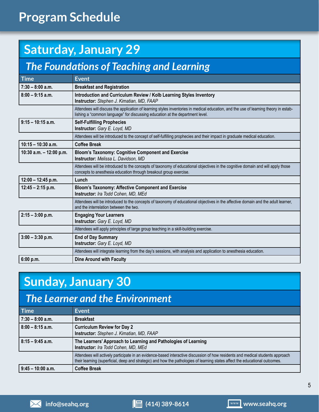# **Program Schedule**

# **Saturday, January 29**

### *The Foundations of Teaching and Learning*

| <b>Time</b>               | <b>Event</b>                                                                                                                                                                                                          |
|---------------------------|-----------------------------------------------------------------------------------------------------------------------------------------------------------------------------------------------------------------------|
| $7:30 - 8:00$ a.m.        | <b>Breakfast and Registration</b>                                                                                                                                                                                     |
| $8:00 - 9:15$ a.m.        | Introduction and Curriculum Review / Kolb Learning Styles Inventory<br>Instructor: Stephen J. Kimatian, MD, FAAP                                                                                                      |
|                           | Attendees will discuss the application of learning styles inventories in medical education, and the use of learning theory in estab-<br>lishing a "common language" for discussing education at the department level. |
| $9:15 - 10:15$ a.m.       | <b>Self-Fulfilling Prophecies</b><br>Instructor: Gary E. Loyd, MD                                                                                                                                                     |
|                           | Attendees will be introduced to the concept of self-fulfilling prophecies and their impact in graduate medical education.                                                                                             |
| $10:15 - 10:30$ a.m.      | <b>Coffee Break</b>                                                                                                                                                                                                   |
| 10:30 a.m. $-$ 12:00 p.m. | <b>Bloom's Taxonomy: Cognitive Component and Exercise</b><br>Instructor: Melissa L. Davidson, MD                                                                                                                      |
|                           | Attendees will be introduced to the concepts of taxonomy of educational objectives in the cognitive domain and will apply those<br>concepts to anesthesia education through breakout group exercise.                  |
| $12:00 - 12:45$ p.m.      | Lunch                                                                                                                                                                                                                 |
| $12:45 - 2:15$ p.m.       | <b>Bloom's Taxonomy: Affective Component and Exercise</b><br>Instructor: Ira Todd Cohen, MD, MEd                                                                                                                      |
|                           | Attendees will be introduced to the concepts of taxonomy of educational objectives in the affective domain and the adult learner,<br>and the interrelation between the two.                                           |
| $2:15 - 3:00$ p.m.        | <b>Engaging Your Learners</b><br>Instructor: Gary E. Loyd, MD                                                                                                                                                         |
|                           | Attendees will apply principles of large group teaching in a skill-building exercise.                                                                                                                                 |
| $3:00 - 3:30$ p.m.        | <b>End of Day Summary</b><br>Instructor: Gary E. Loyd, MD                                                                                                                                                             |
|                           | Attendees will integrate learning from the day's sessions, with analysis and application to anesthesia education.                                                                                                     |
| 6:00 p.m.                 | <b>Dine Around with Faculty</b>                                                                                                                                                                                       |

### **Sunday, January 30**

### *The Learner and the Environment*

| <b>Time</b>         | <b>Event</b>                                                                                                                                                                                                                                                   |
|---------------------|----------------------------------------------------------------------------------------------------------------------------------------------------------------------------------------------------------------------------------------------------------------|
| $7:30 - 8:00$ a.m.  | <b>Breakfast</b>                                                                                                                                                                                                                                               |
| $8:00 - 8:15$ a.m.  | <b>Curriculum Review for Day 2</b><br>Instructor: Stephen J. Kimatian, MD, FAAP                                                                                                                                                                                |
| $8:15 - 9:45$ a.m.  | The Learners' Approach to Learning and Pathologies of Learning<br>Instructor: Ira Todd Cohen, MD, MEd                                                                                                                                                          |
|                     | Attendees will actively participate in an evidence-based interactive discussion of how residents and medical students approach<br>their learning (superficial, deep and strategic) and how the pathologies of learning states affect the educational outcomes. |
| $9:45 - 10:00$ a.m. | <b>Coffee Break</b>                                                                                                                                                                                                                                            |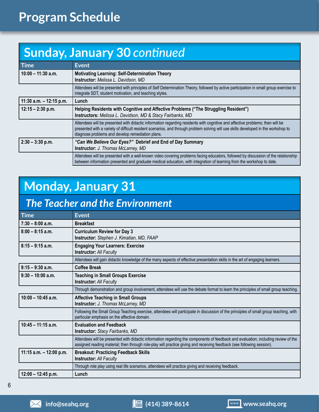# **Program Schedule**

# **Sunday, January 30** *continued*

| <b>Time</b>               | <b>Event</b>                                                                                                                                                                                                                                                                                                            |  |
|---------------------------|-------------------------------------------------------------------------------------------------------------------------------------------------------------------------------------------------------------------------------------------------------------------------------------------------------------------------|--|
| $10:00 - 11:30$ a.m.      | <b>Motivating Learning: Self-Determination Theory</b><br><b>Instructor:</b> Melissa L. Davidson, MD                                                                                                                                                                                                                     |  |
|                           | Attendees will be presented with principles of Self Determination Theory, followed by active participation in small group exercise to<br>integrate SDT, student motivation, and teaching styles.                                                                                                                        |  |
| 11:30 a.m. $-$ 12:15 p.m. | Lunch                                                                                                                                                                                                                                                                                                                   |  |
| $12:15 - 2:30$ p.m.       | Helping Residents with Cognitive and Affective Problems ("The Struggling Resident")<br>Instructors: Melissa L. Davidson, MD & Stacy Fairbanks, MD                                                                                                                                                                       |  |
|                           | Attendees will be presented with didactic information regarding residents with cognitive and affective problems; then will be<br>presented with a variety of difficult resident scenarios, and through problem solving will use skills developed in the workshop to<br>diagnose problems and develop remediation plans. |  |
| $2:30 - 3:30$ p.m.        | "Can We Believe Our Eyes?" Debrief and End of Day Summary<br><b>Instructor:</b> J. Thomas McLarney, MD                                                                                                                                                                                                                  |  |
|                           | Attendees will be presented with a well-known video covering problems facing educators, followed by discussion of the relationship<br>between information presented and graduate medical education, with integration of learning from the workshop to date.                                                             |  |

# **Monday, January 31**

### *The Teacher and the Environment*

| Time                      | <b>Event</b>                                                                                                                                                                                                                                                 |
|---------------------------|--------------------------------------------------------------------------------------------------------------------------------------------------------------------------------------------------------------------------------------------------------------|
| $7:30 - 8:00$ a.m.        | <b>Breakfast</b>                                                                                                                                                                                                                                             |
| $8:00 - 8:15$ a.m.        | <b>Curriculum Review for Day 3</b><br>Instructor: Stephen J. Kimatian, MD, FAAP                                                                                                                                                                              |
| $8:15 - 9:15$ a.m.        | <b>Engaging Your Learners: Exercise</b><br><b>Instructor: All Faculty</b>                                                                                                                                                                                    |
|                           | Attendees will gain didactic knowledge of the many aspects of effective presentation skills in the art of engaging learners.                                                                                                                                 |
| $9:15 - 9:30$ a.m.        | <b>Coffee Break</b>                                                                                                                                                                                                                                          |
| $9:30 - 10:00$ a.m.       | <b>Teaching in Small Groups Exercise</b><br><b>Instructor: All Faculty</b>                                                                                                                                                                                   |
|                           | Through demonstration and group involvement, attendees will use the debate format to learn the principles of small group teaching.                                                                                                                           |
| $10:00 - 10:45$ a.m.      | <b>Affective Teaching in Small Groups</b><br>Instructor: J. Thomas McLarney, MD                                                                                                                                                                              |
|                           | Following the Small Group Teaching exercise, attendees will participate in discussion of the principles of small group teaching, with<br>particular emphasis on the affective domain.                                                                        |
| $10:45 - 11:15$ a.m.      | <b>Evaluation and Feedback</b><br>Instructor: Stacy Fairbanks, MD                                                                                                                                                                                            |
|                           | Attendees will be presented with didactic information regarding the components of feedback and evaluation, including review of the<br>assigned reading material; then through role-play will practice giving and receiving feedback (see following session). |
| 11:15 a.m. $-$ 12:00 p.m. | <b>Breakout: Practicing Feedback Skills</b><br><b>Instructor: All Faculty</b>                                                                                                                                                                                |
|                           | Through role play using real life scenarios, attendees will practice giving and receiving feedback.                                                                                                                                                          |
| $12:00 - 12:45$ p.m.      | Lunch                                                                                                                                                                                                                                                        |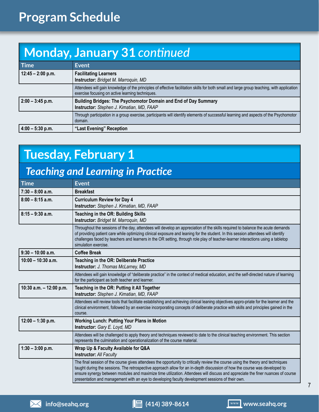# **Monday, January 31** *continued*

| <b>Time</b>         | Event                                                                                                                                                                                          |
|---------------------|------------------------------------------------------------------------------------------------------------------------------------------------------------------------------------------------|
| $12:45 - 2:00$ p.m. | <b>Facilitating Learners</b><br><b>Instructor:</b> Bridget M. Marroquin, MD                                                                                                                    |
|                     | Attendees will gain knowledge of the principles of effective facilitation skills for both small and large group teaching, with application<br>exercise focusing on active learning techniques. |
| $2:00 - 3:45$ p.m.  | Building Bridges: The Psychomotor Domain and End of Day Summary<br>Instructor: Stephen J. Kimatian, MD, FAAP                                                                                   |
|                     | Through participation in a group exercise, participants will identify elements of successful learning and aspects of the Psychomotor<br>domain.                                                |
| $4:00 - 5:30$ p.m.  | "Last Evening" Reception                                                                                                                                                                       |

# **Tuesday, February 1**

### *Teaching and Learning in Practice*

| <b>Time</b>               | <b>Event</b>                                                                                                                                                                                                                                                                                                                                                                                                                                                                                         |
|---------------------------|------------------------------------------------------------------------------------------------------------------------------------------------------------------------------------------------------------------------------------------------------------------------------------------------------------------------------------------------------------------------------------------------------------------------------------------------------------------------------------------------------|
| $7:30 - 8:00$ a.m.        | <b>Breakfast</b>                                                                                                                                                                                                                                                                                                                                                                                                                                                                                     |
| $8:00 - 8:15$ a.m.        | <b>Curriculum Review for Day 4</b><br>Instructor: Stephen J. Kimatian, MD, FAAP                                                                                                                                                                                                                                                                                                                                                                                                                      |
| $8:15 - 9:30$ a.m.        | Teaching in the OR: Building Skills<br>Instructor: Bridget M. Marroquin, MD                                                                                                                                                                                                                                                                                                                                                                                                                          |
|                           | Throughout the sessions of the day, attendees will develop an appreciation of the skills required to balance the acute demands<br>of providing patient care while optimizing clinical exposure and leaning for the student. In this session attendees will identify<br>challenges faced by teachers and learners in the OR setting, through role play of teacher-learner interactions using a tabletop<br>simulation exercise.                                                                       |
| $9:30 - 10:00$ a.m.       | <b>Coffee Break</b>                                                                                                                                                                                                                                                                                                                                                                                                                                                                                  |
| $10:00 - 10:30$ a.m.      | Teaching in the OR: Deliberate Practice<br>Instructor: J. Thomas McLarney, MD                                                                                                                                                                                                                                                                                                                                                                                                                        |
|                           | Attendees will gain knowledge of "deliberate practice" in the context of medical education, and the self-directed nature of learning<br>for the participant as both teacher and learner.                                                                                                                                                                                                                                                                                                             |
| 10:30 a.m. $-$ 12:00 p.m. | Teaching in the OR: Putting it All Together<br>Instructor: Stephen J. Kimatian, MD, FAAP                                                                                                                                                                                                                                                                                                                                                                                                             |
|                           | Attendees will review tools that facilitate establishing and achieving clinical leaning objectives appro-priate for the learner and the<br>clinical environment, followed by an exercise incorporating concepts of deliberate practice with skills and principles gained in the<br>course.                                                                                                                                                                                                           |
| $12:00 - 1:30$ p.m.       | <b>Working Lunch: Putting Your Plans in Motion</b><br>Instructor: Gary E. Loyd, MD                                                                                                                                                                                                                                                                                                                                                                                                                   |
|                           | Attendees will be challenged to apply theory and techniques reviewed to date to the clinical teaching environment. This section<br>represents the culmination and operationalization of the course material.                                                                                                                                                                                                                                                                                         |
| $1:30 - 3:00$ p.m.        | Wrap Up & Faculty Available for Q&A<br><b>Instructor: All Faculty</b>                                                                                                                                                                                                                                                                                                                                                                                                                                |
|                           | The final session of the course gives attendees the opportunity to critically review the course using the theory and techniques<br>taught during the sessions. The retrospective approach allow for an in-depth discussion of how the course was developed to<br>ensure synergy between modules and maximize time utilization. Attendees will discuss and appreciate the finer nuances of course<br>presentation and management with an eye to developing faculty development sessions of their own. |

7